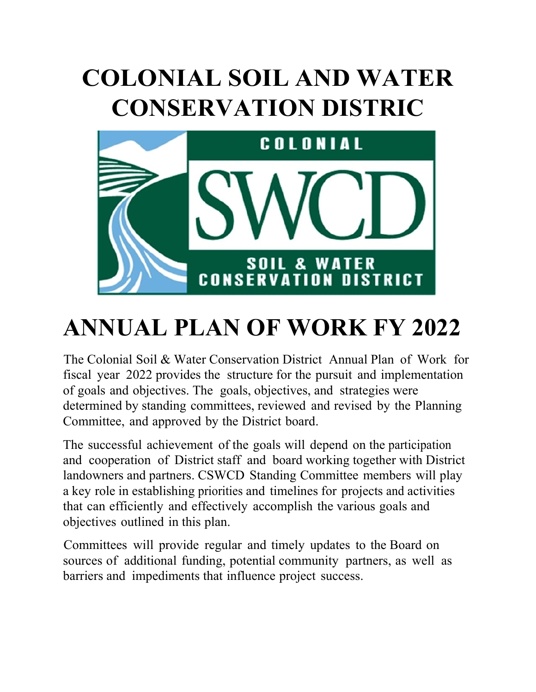# **COLONIAL SOIL AND WATER CONSERVATION DISTRIC**



## **ANNUAL PLAN OF WORK FY 2022**

The Colonial Soil & Water Conservation District Annual Plan of Work for fiscal year 2022 provides the structure for the pursuit and implementation of goals and objectives. The goals, objectives, and strategies were determined by standing committees, reviewed and revised by the Planning Committee, and approved by the District board.

The successful achievement of the goals will depend on the participation and cooperation of District staff and board working together with District landowners and partners. CSWCD Standing Committee members will play a key role in establishing priorities and timelines for projects and activities that can efficiently and effectively accomplish the various goals and objectives outlined in this plan.

Committees will provide regular and timely updates to the Board on sources of additional funding, potential community partners, as well as barriers and impediments that influence project success.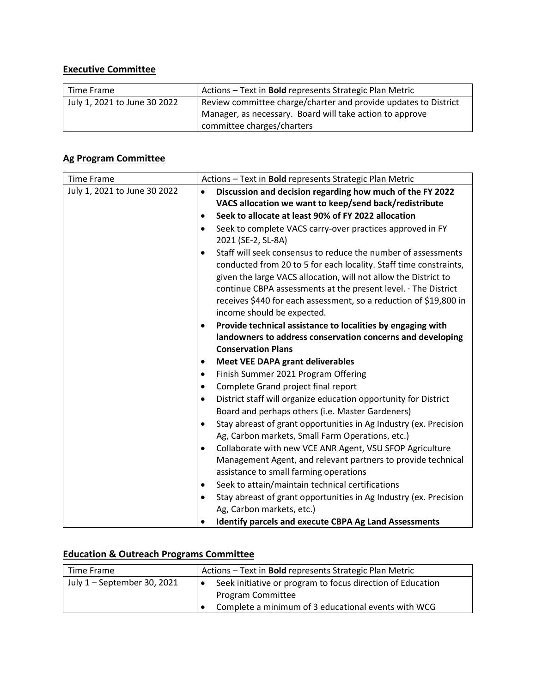## **Executive Committee**

| Time Frame                   | Actions - Text in <b>Bold</b> represents Strategic Plan Metric                                                              |
|------------------------------|-----------------------------------------------------------------------------------------------------------------------------|
| July 1, 2021 to June 30 2022 | Review committee charge/charter and provide updates to District<br>Manager, as necessary. Board will take action to approve |
|                              | committee charges/charters                                                                                                  |

## **Ag Program Committee**

| <b>Time Frame</b>            | Actions - Text in Bold represents Strategic Plan Metric                        |
|------------------------------|--------------------------------------------------------------------------------|
| July 1, 2021 to June 30 2022 | Discussion and decision regarding how much of the FY 2022<br>$\bullet$         |
|                              | VACS allocation we want to keep/send back/redistribute                         |
|                              | Seek to allocate at least 90% of FY 2022 allocation                            |
|                              | Seek to complete VACS carry-over practices approved in FY<br>$\bullet$         |
|                              | 2021 (SE-2, SL-8A)                                                             |
|                              | Staff will seek consensus to reduce the number of assessments<br>$\bullet$     |
|                              | conducted from 20 to 5 for each locality. Staff time constraints,              |
|                              | given the large VACS allocation, will not allow the District to                |
|                              | continue CBPA assessments at the present level. · The District                 |
|                              | receives \$440 for each assessment, so a reduction of \$19,800 in              |
|                              | income should be expected.                                                     |
|                              | Provide technical assistance to localities by engaging with<br>٠               |
|                              | landowners to address conservation concerns and developing                     |
|                              | <b>Conservation Plans</b>                                                      |
|                              | <b>Meet VEE DAPA grant deliverables</b><br>٠                                   |
|                              | Finish Summer 2021 Program Offering<br>$\bullet$                               |
|                              | Complete Grand project final report<br>$\bullet$                               |
|                              | District staff will organize education opportunity for District<br>$\bullet$   |
|                              | Board and perhaps others (i.e. Master Gardeners)                               |
|                              | Stay abreast of grant opportunities in Ag Industry (ex. Precision<br>$\bullet$ |
|                              | Ag, Carbon markets, Small Farm Operations, etc.)                               |
|                              | Collaborate with new VCE ANR Agent, VSU SFOP Agriculture<br>$\bullet$          |
|                              | Management Agent, and relevant partners to provide technical                   |
|                              | assistance to small farming operations                                         |
|                              | Seek to attain/maintain technical certifications<br>٠                          |
|                              | Stay abreast of grant opportunities in Ag Industry (ex. Precision<br>$\bullet$ |
|                              | Ag, Carbon markets, etc.)                                                      |
|                              | <b>Identify parcels and execute CBPA Ag Land Assessments</b>                   |

## **Education & Outreach Programs Committee**

| Time Frame                  | Actions - Text in <b>Bold</b> represents Strategic Plan Metric |
|-----------------------------|----------------------------------------------------------------|
| July 1 - September 30, 2021 | Seek initiative or program to focus direction of Education     |
|                             | <b>Program Committee</b>                                       |
|                             | Complete a minimum of 3 educational events with WCG            |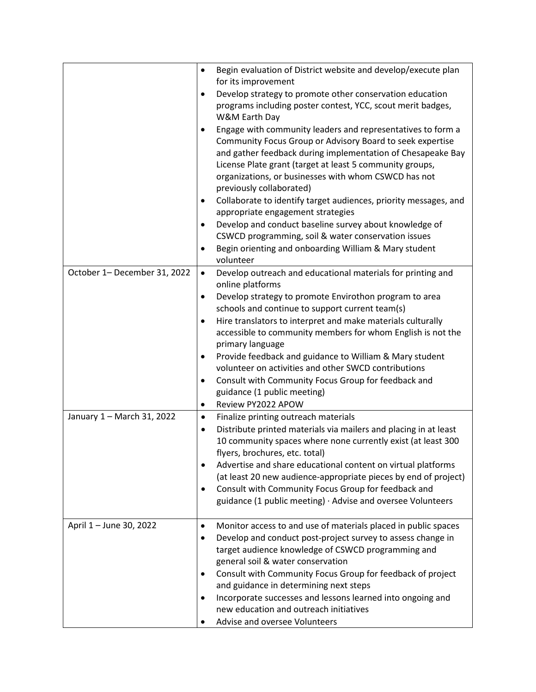|                              | $\bullet$ | Begin evaluation of District website and develop/execute plan    |
|------------------------------|-----------|------------------------------------------------------------------|
|                              |           | for its improvement                                              |
|                              |           | Develop strategy to promote other conservation education         |
|                              |           | programs including poster contest, YCC, scout merit badges,      |
|                              |           | W&M Earth Day                                                    |
|                              | ٠         | Engage with community leaders and representatives to form a      |
|                              |           | Community Focus Group or Advisory Board to seek expertise        |
|                              |           | and gather feedback during implementation of Chesapeake Bay      |
|                              |           | License Plate grant (target at least 5 community groups,         |
|                              |           | organizations, or businesses with whom CSWCD has not             |
|                              |           | previously collaborated)                                         |
|                              |           |                                                                  |
|                              | $\bullet$ | Collaborate to identify target audiences, priority messages, and |
|                              |           | appropriate engagement strategies                                |
|                              | $\bullet$ | Develop and conduct baseline survey about knowledge of           |
|                              |           | CSWCD programming, soil & water conservation issues              |
|                              | $\bullet$ | Begin orienting and onboarding William & Mary student            |
|                              |           | volunteer                                                        |
| October 1- December 31, 2022 | $\bullet$ | Develop outreach and educational materials for printing and      |
|                              |           | online platforms                                                 |
|                              | $\bullet$ | Develop strategy to promote Envirothon program to area           |
|                              |           | schools and continue to support current team(s)                  |
|                              | $\bullet$ | Hire translators to interpret and make materials culturally      |
|                              |           | accessible to community members for whom English is not the      |
|                              |           | primary language                                                 |
|                              | ٠         | Provide feedback and guidance to William & Mary student          |
|                              |           | volunteer on activities and other SWCD contributions             |
|                              | $\bullet$ | Consult with Community Focus Group for feedback and              |
|                              |           | guidance (1 public meeting)                                      |
|                              | $\bullet$ | Review PY2022 APOW                                               |
| January 1 - March 31, 2022   | $\bullet$ | Finalize printing outreach materials                             |
|                              |           |                                                                  |
|                              | $\bullet$ | Distribute printed materials via mailers and placing in at least |
|                              |           | 10 community spaces where none currently exist (at least 300     |
|                              |           | flyers, brochures, etc. total)                                   |
|                              | ٠         | Advertise and share educational content on virtual platforms     |
|                              |           | (at least 20 new audience-appropriate pieces by end of project)  |
|                              | $\bullet$ | Consult with Community Focus Group for feedback and              |
|                              |           | guidance (1 public meeting) · Advise and oversee Volunteers      |
|                              |           |                                                                  |
| April 1 - June 30, 2022      | $\bullet$ | Monitor access to and use of materials placed in public spaces   |
|                              | $\bullet$ | Develop and conduct post-project survey to assess change in      |
|                              |           | target audience knowledge of CSWCD programming and               |
|                              |           | general soil & water conservation                                |
|                              | $\bullet$ | Consult with Community Focus Group for feedback of project       |
|                              |           | and guidance in determining next steps                           |
|                              | ٠         | Incorporate successes and lessons learned into ongoing and       |
|                              |           | new education and outreach initiatives                           |
|                              |           | Advise and oversee Volunteers                                    |
|                              |           |                                                                  |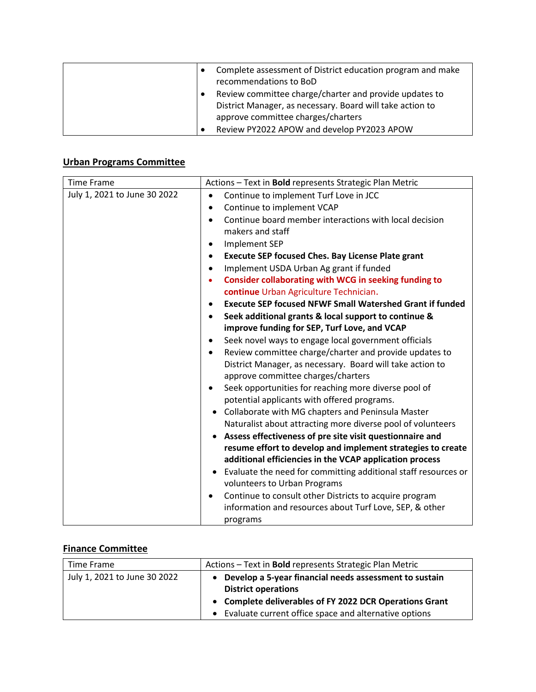| Complete assessment of District education program and make |
|------------------------------------------------------------|
| recommendations to BoD                                     |
| Review committee charge/charter and provide updates to     |
| District Manager, as necessary. Board will take action to  |
| approve committee charges/charters                         |
| Review PY2022 APOW and develop PY2023 APOW                 |

## **Urban Programs Committee**

| <b>Time Frame</b>            | Actions - Text in Bold represents Strategic Plan Metric                      |
|------------------------------|------------------------------------------------------------------------------|
| July 1, 2021 to June 30 2022 | Continue to implement Turf Love in JCC<br>$\bullet$                          |
|                              | Continue to implement VCAP<br>$\bullet$                                      |
|                              | Continue board member interactions with local decision<br>$\bullet$          |
|                              | makers and staff                                                             |
|                              | Implement SEP<br>$\bullet$                                                   |
|                              | <b>Execute SEP focused Ches. Bay License Plate grant</b>                     |
|                              | Implement USDA Urban Ag grant if funded<br>$\bullet$                         |
|                              | <b>Consider collaborating with WCG in seeking funding to</b><br>$\bullet$    |
|                              | continue Urban Agriculture Technician.                                       |
|                              | <b>Execute SEP focused NFWF Small Watershed Grant if funded</b><br>$\bullet$ |
|                              | Seek additional grants & local support to continue &<br>$\bullet$            |
|                              | improve funding for SEP, Turf Love, and VCAP                                 |
|                              | Seek novel ways to engage local government officials                         |
|                              | Review committee charge/charter and provide updates to<br>$\bullet$          |
|                              | District Manager, as necessary. Board will take action to                    |
|                              | approve committee charges/charters                                           |
|                              | Seek opportunities for reaching more diverse pool of<br>$\bullet$            |
|                              | potential applicants with offered programs.                                  |
|                              | Collaborate with MG chapters and Peninsula Master                            |
|                              | Naturalist about attracting more diverse pool of volunteers                  |
|                              | Assess effectiveness of pre site visit questionnaire and                     |
|                              | resume effort to develop and implement strategies to create                  |
|                              | additional efficiencies in the VCAP application process                      |
|                              | Evaluate the need for committing additional staff resources or               |
|                              | volunteers to Urban Programs                                                 |
|                              | Continue to consult other Districts to acquire program                       |
|                              | information and resources about Turf Love, SEP, & other                      |
|                              | programs                                                                     |

#### **Finance Committee**

| Time Frame                   | Actions - Text in <b>Bold</b> represents Strategic Plan Metric                         |
|------------------------------|----------------------------------------------------------------------------------------|
| July 1, 2021 to June 30 2022 | • Develop a 5-year financial needs assessment to sustain<br><b>District operations</b> |
|                              | • Complete deliverables of FY 2022 DCR Operations Grant                                |
|                              | • Evaluate current office space and alternative options                                |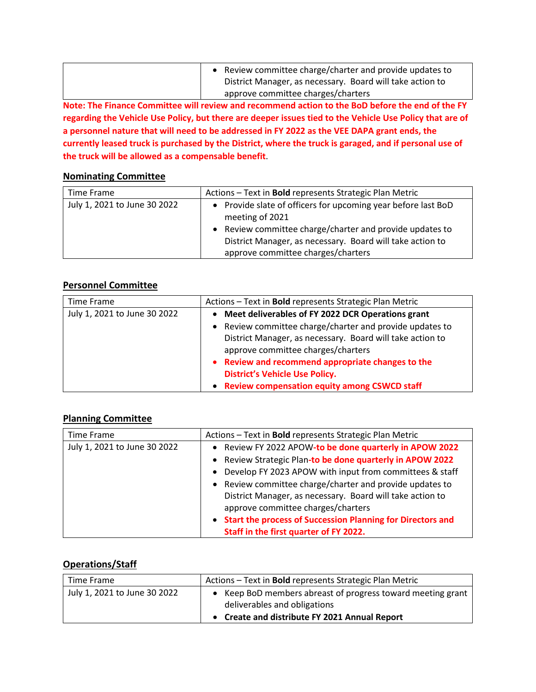| • Review committee charge/charter and provide updates to  |
|-----------------------------------------------------------|
| District Manager, as necessary. Board will take action to |
| approve committee charges/charters                        |

**Note: The Finance Committee will review and recommend action to the BoD before the end of the FY regarding the Vehicle Use Policy, but there are deeper issues tied to the Vehicle Use Policy that are of a personnel nature that will need to be addressed in FY 2022 as the VEE DAPA grant ends, the currently leased truck is purchased by the District, where the truck is garaged, and if personal use of the truck will be allowed as a compensable benefit**.

#### **Nominating Committee**

| Time Frame                   | Actions - Text in <b>Bold</b> represents Strategic Plan Metric                                                                                                                                                                                  |
|------------------------------|-------------------------------------------------------------------------------------------------------------------------------------------------------------------------------------------------------------------------------------------------|
| July 1, 2021 to June 30 2022 | • Provide slate of officers for upcoming year before last BoD<br>meeting of 2021<br>• Review committee charge/charter and provide updates to<br>District Manager, as necessary. Board will take action to<br>approve committee charges/charters |

#### **Personnel Committee**

| Time Frame                   | Actions - Text in Bold represents Strategic Plan Metric                                         |
|------------------------------|-------------------------------------------------------------------------------------------------|
| July 1, 2021 to June 30 2022 | • Meet deliverables of FY 2022 DCR Operations grant                                             |
|                              | Review committee charge/charter and provide updates to                                          |
|                              | District Manager, as necessary. Board will take action to<br>approve committee charges/charters |
|                              | • Review and recommend appropriate changes to the<br><b>District's Vehicle Use Policy.</b>      |
|                              | • Review compensation equity among CSWCD staff                                                  |

#### **Planning Committee**

| Time Frame                   | Actions - Text in <b>Bold</b> represents Strategic Plan Metric |
|------------------------------|----------------------------------------------------------------|
| July 1, 2021 to June 30 2022 | • Review FY 2022 APOW-to be done quarterly in APOW 2022        |
|                              | • Review Strategic Plan-to be done quarterly in APOW 2022      |
|                              | • Develop FY 2023 APOW with input from committees & staff      |
|                              | • Review committee charge/charter and provide updates to       |
|                              | District Manager, as necessary. Board will take action to      |
|                              | approve committee charges/charters                             |
|                              | • Start the process of Succession Planning for Directors and   |
|                              | Staff in the first quarter of FY 2022.                         |

#### **Operations/Staff**

| Time Frame                   | Actions - Text in <b>Bold</b> represents Strategic Plan Metric                                                                               |
|------------------------------|----------------------------------------------------------------------------------------------------------------------------------------------|
| July 1, 2021 to June 30 2022 | • Keep BoD members abreast of progress toward meeting grant<br>deliverables and obligations<br>• Create and distribute FY 2021 Annual Report |